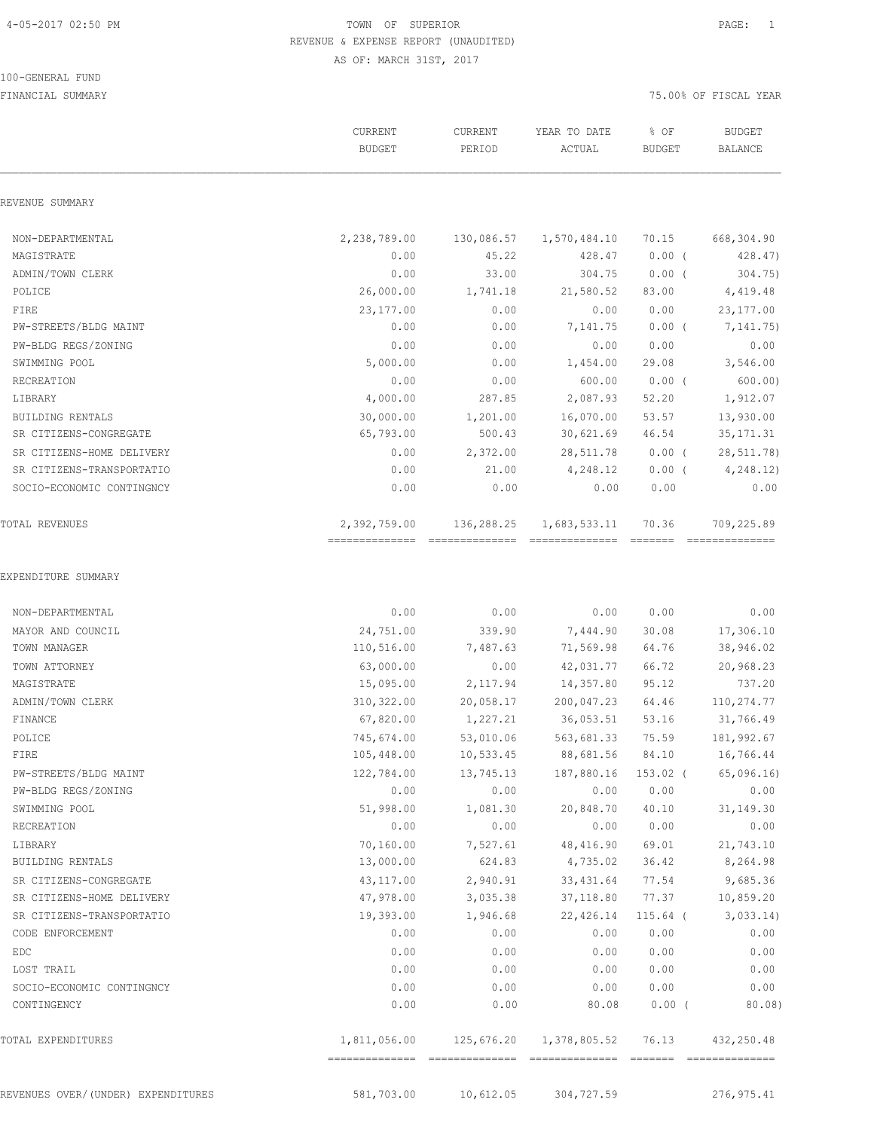100-GENERAL FUND

### 4-05-2017 02:50 PM TOWN OF SUPERIOR PAGE: 1 REVENUE & EXPENSE REPORT (UNAUDITED) AS OF: MARCH 31ST, 2017

|                                     | CURRENT<br><b>BUDGET</b> | CURRENT<br>PERIOD | YEAR TO DATE<br>ACTUAL | % OF<br><b>BUDGET</b> | <b>BUDGET</b><br>BALANCE |
|-------------------------------------|--------------------------|-------------------|------------------------|-----------------------|--------------------------|
| REVENUE SUMMARY                     |                          |                   |                        |                       |                          |
| NON-DEPARTMENTAL                    | 2,238,789.00             | 130,086.57        | 1,570,484.10           | 70.15                 | 668,304.90               |
| MAGISTRATE                          | 0.00                     | 45.22             | 428.47                 | $0.00$ (              | 428.47)                  |
| ADMIN/TOWN CLERK                    | 0.00                     | 33.00             | 304.75                 | $0.00$ (              | 304.75)                  |
| POLICE                              | 26,000.00                | 1,741.18          | 21,580.52              | 83.00                 | 4,419.48                 |
| FIRE                                | 23, 177.00               | 0.00              | 0.00                   | 0.00                  | 23, 177.00               |
| PW-STREETS/BLDG MAINT               | 0.00                     | 0.00              | 7,141.75               | $0.00$ (              | 7, 141. 75)              |
| PW-BLDG REGS/ZONING                 | 0.00                     | 0.00              | 0.00                   | 0.00                  | 0.00                     |
| SWIMMING POOL                       | 5,000.00                 | 0.00              | 1,454.00               | 29.08                 | 3,546.00                 |
| RECREATION                          | 0.00                     | 0.00              | 600.00                 | $0.00$ (              | 600.00)                  |
| LIBRARY                             | 4,000.00                 | 287.85            | 2,087.93               | 52.20                 | 1,912.07                 |
| BUILDING RENTALS                    | 30,000.00                | 1,201.00          | 16,070.00              | 53.57                 | 13,930.00                |
| SR CITIZENS-CONGREGATE              | 65,793.00                | 500.43            | 30,621.69              | 46.54                 | 35, 171.31               |
| SR CITIZENS-HOME DELIVERY           | 0.00                     | 2,372.00          | 28,511.78              | $0.00$ (              | 28,511.78)               |
| SR CITIZENS-TRANSPORTATIO           | 0.00                     | 21.00             | 4,248.12               | $0.00$ (              | 4, 248.12)               |
| SOCIO-ECONOMIC CONTINGNCY           | 0.00                     | 0.00              | 0.00                   | 0.00                  | 0.00                     |
| <b>TOTAL REVENUES</b>               | 2,392,759.00             | 136,288.25        | 1,683,533.11           | 70.36                 | 709,225.89               |
| EXPENDITURE SUMMARY                 |                          |                   |                        |                       |                          |
| NON-DEPARTMENTAL                    | 0.00                     | 0.00              | 0.00                   | 0.00                  | 0.00                     |
| MAYOR AND COUNCIL                   | 24,751.00                | 339.90            | 7,444.90               | 30.08                 | 17,306.10                |
| TOWN MANAGER                        | 110,516.00               | 7,487.63          | 71,569.98              | 64.76                 | 38,946.02                |
| TOWN ATTORNEY                       | 63,000.00                | 0.00              | 42,031.77              | 66.72                 | 20,968.23                |
| MAGISTRATE                          | 15,095.00                | 2,117.94          | 14,357.80              | 95.12                 | 737.20                   |
| ADMIN/TOWN CLERK                    | 310,322.00               | 20,058.17         | 200,047.23             | 64.46                 | 110,274.77               |
| FINANCE                             | 67,820.00                | 1,227.21          | 36,053.51              | 53.16                 | 31,766.49                |
| POLICE                              | 745,674.00               | 53,010.06         | 563,681.33             | 75.59                 | 181,992.67               |
| FIRE                                | 105,448.00               | 10,533.45         | 88,681.56 84.10        |                       | 16,766.44                |
| PW-STREETS/BLDG MAINT               | 122,784.00               | 13,745.13         | 187,880.16 153.02 (    |                       | 65,096.16                |
| PW-BLDG REGS/ZONING                 | 0.00                     | 0.00              | 0.00                   | 0.00                  | 0.00                     |
| SWIMMING POOL                       | 51,998.00                | 1,081.30          | 20,848.70              | 40.10                 | 31, 149.30               |
| RECREATION                          | 0.00                     | 0.00              | 0.00                   | 0.00                  | 0.00                     |
| LIBRARY                             | 70,160.00                | 7,527.61          | 48,416.90              | 69.01                 | 21,743.10                |
| BUILDING RENTALS                    | 13,000.00                |                   | 624.83 4,735.02        | 36.42                 | 8,264.98                 |
| SR CITIZENS-CONGREGATE              | 43,117.00                | 2,940.91          | 33,431.64              | 77.54                 | 9,685.36                 |
| SR CITIZENS-HOME DELIVERY           | 47,978.00                | 3,035.38          | 37,118.80              | 77.37                 | 10,859.20                |
| SR CITIZENS-TRANSPORTATIO           | 19,393.00                | 1,946.68          | 22,426.14              | $115.64$ (            | 3,033.14)                |
| CODE ENFORCEMENT                    | 0.00                     | 0.00              | 0.00                   | 0.00                  | 0.00                     |
| EDC                                 | 0.00                     | 0.00              | 0.00                   | 0.00                  | 0.00                     |
| LOST TRAIL                          | 0.00                     | 0.00              | 0.00                   | 0.00                  | 0.00                     |
| SOCIO-ECONOMIC CONTINGNCY           | 0.00                     | 0.00              | 0.00                   | 0.00                  | 0.00                     |
| CONTINGENCY                         | 0.00                     | 0.00              | 80.08                  | $0.00$ (              | 80.08)                   |
| TOTAL EXPENDITURES                  |                          |                   |                        | 76.13                 | 432,250.48               |
| REVENUES OVER/ (UNDER) EXPENDITURES | 581,703.00               | 10,612.05         | 304,727.59             |                       | 276,975.41               |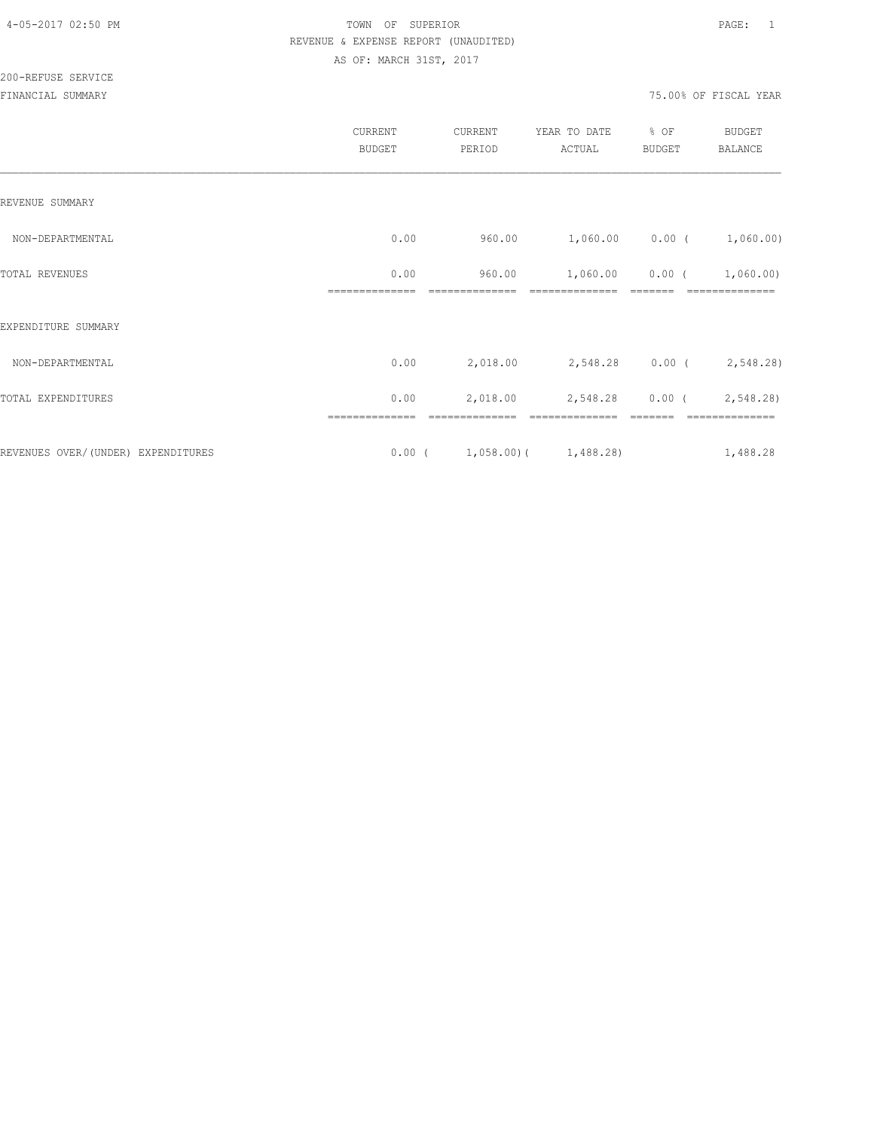|                                    | CURRENT<br><b>BUDGET</b> | CURRENT<br>PERIOD              | YEAR TO DATE<br>ACTUAL          | % OF<br><b>BUDGET</b> | <b>BUDGET</b><br><b>BALANCE</b> |
|------------------------------------|--------------------------|--------------------------------|---------------------------------|-----------------------|---------------------------------|
| REVENUE SUMMARY                    |                          |                                |                                 |                       |                                 |
| NON-DEPARTMENTAL                   | 0.00                     | 960.00                         | $1,060.00$ $0.00$ ( $1,060.00)$ |                       |                                 |
| TOTAL REVENUES                     | 0.00                     | 960.00                         | 1,060.00                        | $0.00$ (              | 1,060.00)                       |
| EXPENDITURE SUMMARY                |                          |                                |                                 |                       |                                 |
| NON-DEPARTMENTAL                   | 0.00                     | 2,018.00                       | 2,548.28 0.00 (2,548.28)        |                       |                                 |
| TOTAL EXPENDITURES                 | 0.00                     | 2,018.00                       | 2,548.28                        |                       | $0.00$ ( 2,548.28)              |
| REVENUES OVER/(UNDER) EXPENDITURES |                          | $0.00$ ( 1,058.00) ( 1,488.28) |                                 |                       | 1,488.28                        |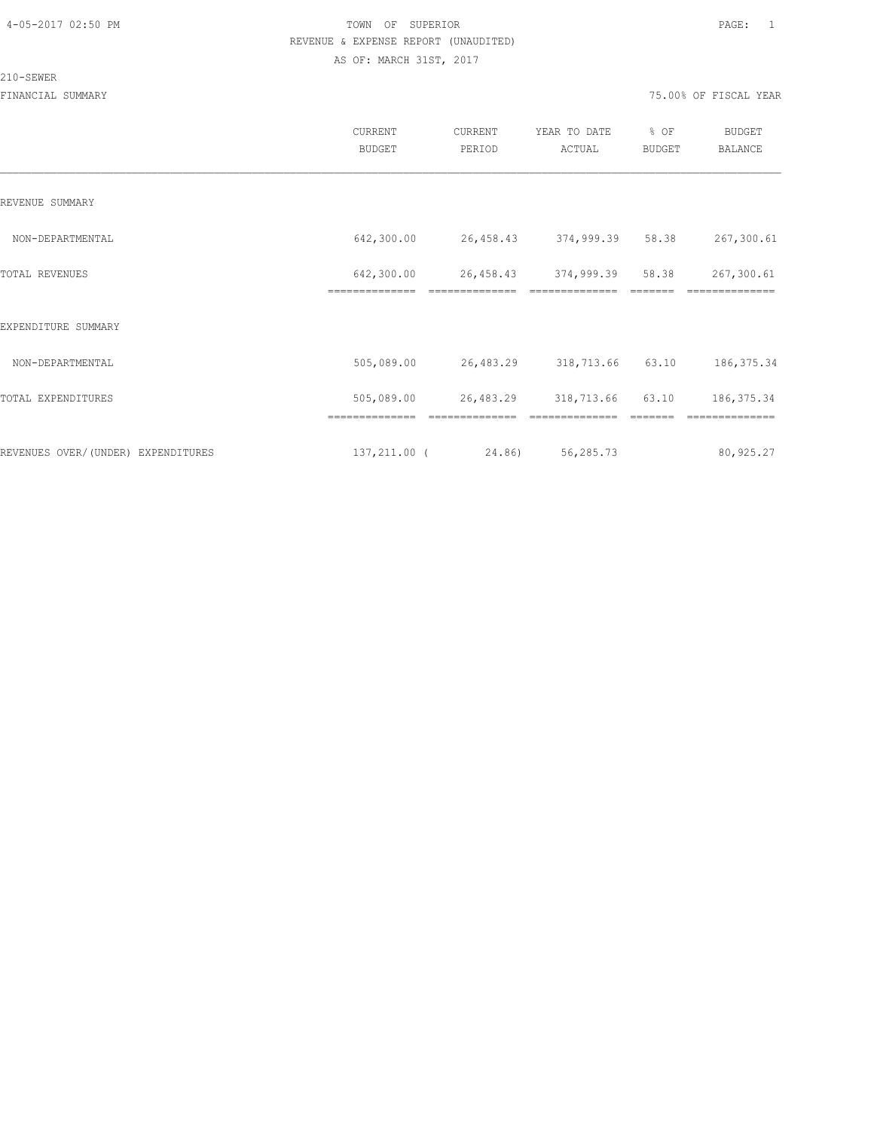#### 210-SEWER

|                                    | CURRENT<br><b>BUDGET</b>     | CURRENT<br>PERIOD | YEAR TO DATE<br>ACTUAL | % OF<br><b>BUDGET</b> | <b>BUDGET</b><br>BALANCE |
|------------------------------------|------------------------------|-------------------|------------------------|-----------------------|--------------------------|
| REVENUE SUMMARY                    |                              |                   |                        |                       |                          |
| NON-DEPARTMENTAL                   | 642,300.00                   | 26,458.43         | 374,999.39             | 58.38                 | 267,300.61               |
| TOTAL REVENUES                     | 642,300.00<br>============== | 26,458.43         | 374,999.39             | 58.38                 | 267,300.61               |
| EXPENDITURE SUMMARY                |                              |                   |                        |                       |                          |
| NON-DEPARTMENTAL                   | 505,089.00                   | 26,483.29         | 318,713.66             | 63.10                 | 186, 375.34              |
| TOTAL EXPENDITURES                 | 505,089.00                   | 26,483.29         | 318,713.66             | 63.10                 | 186, 375.34              |
|                                    |                              |                   |                        |                       |                          |
| REVENUES OVER/(UNDER) EXPENDITURES | 137,211.00 (                 | 24.86)            | 56,285.73              |                       | 80,925.27                |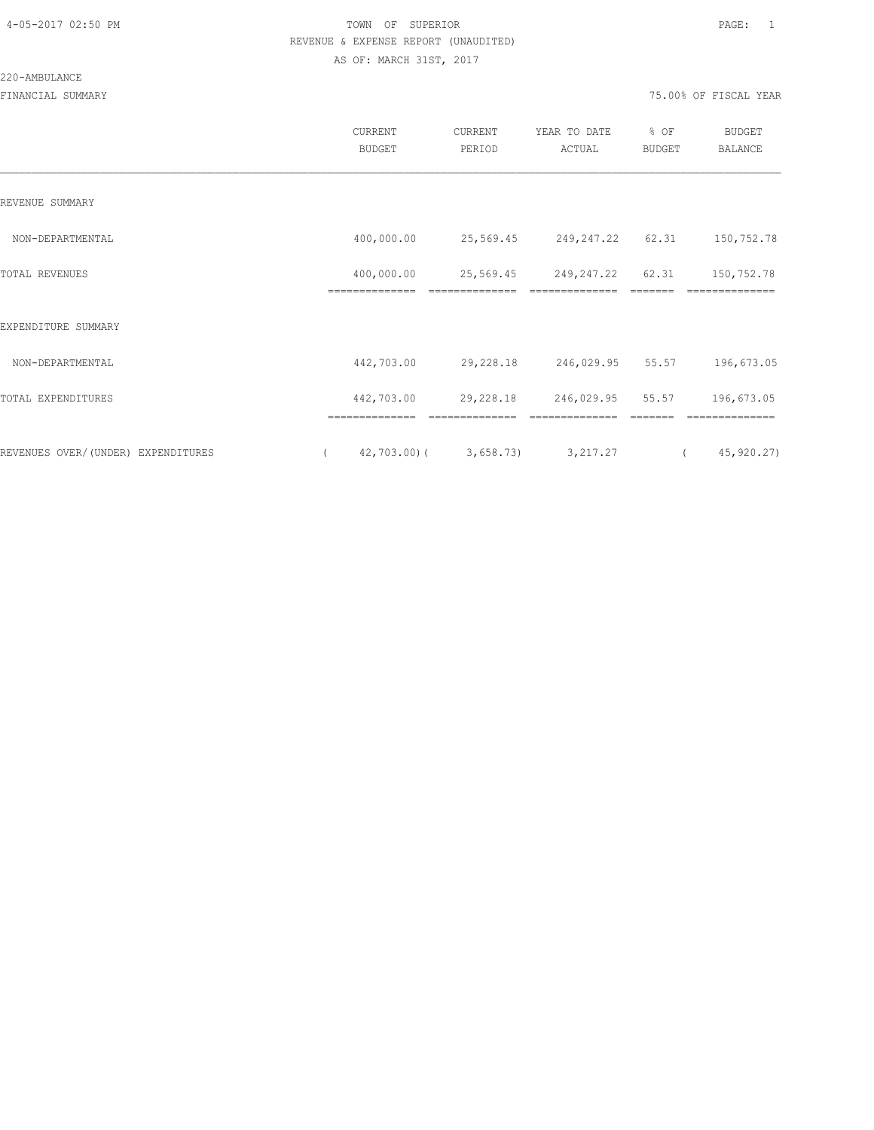#### 220-AMBULANCE

|                                    | <b>CURRENT</b><br><b>BUDGET</b> | CURRENT<br>PERIOD | YEAR TO DATE<br>ACTUAL | % OF<br><b>BUDGET</b> | <b>BUDGET</b><br>BALANCE |
|------------------------------------|---------------------------------|-------------------|------------------------|-----------------------|--------------------------|
| REVENUE SUMMARY                    |                                 |                   |                        |                       |                          |
| NON-DEPARTMENTAL                   | 400,000.00                      | 25,569.45         | 249,247.22             | 62.31                 | 150,752.78               |
| TOTAL REVENUES                     | 400,000.00                      | 25,569.45         | 249,247.22             | 62.31                 | 150,752.78               |
| EXPENDITURE SUMMARY                |                                 |                   |                        |                       |                          |
| NON-DEPARTMENTAL                   | 442,703.00                      | 29,228.18         | 246,029.95             | 55.57                 | 196,673.05               |
| TOTAL EXPENDITURES                 | 442,703.00                      | 29,228.18         | 246,029.95             | 55.57                 | 196,673.05               |
| REVENUES OVER/(UNDER) EXPENDITURES | 42,703.00)(                     | 3,658.73          | 3, 217.27              |                       | 45,920.27)               |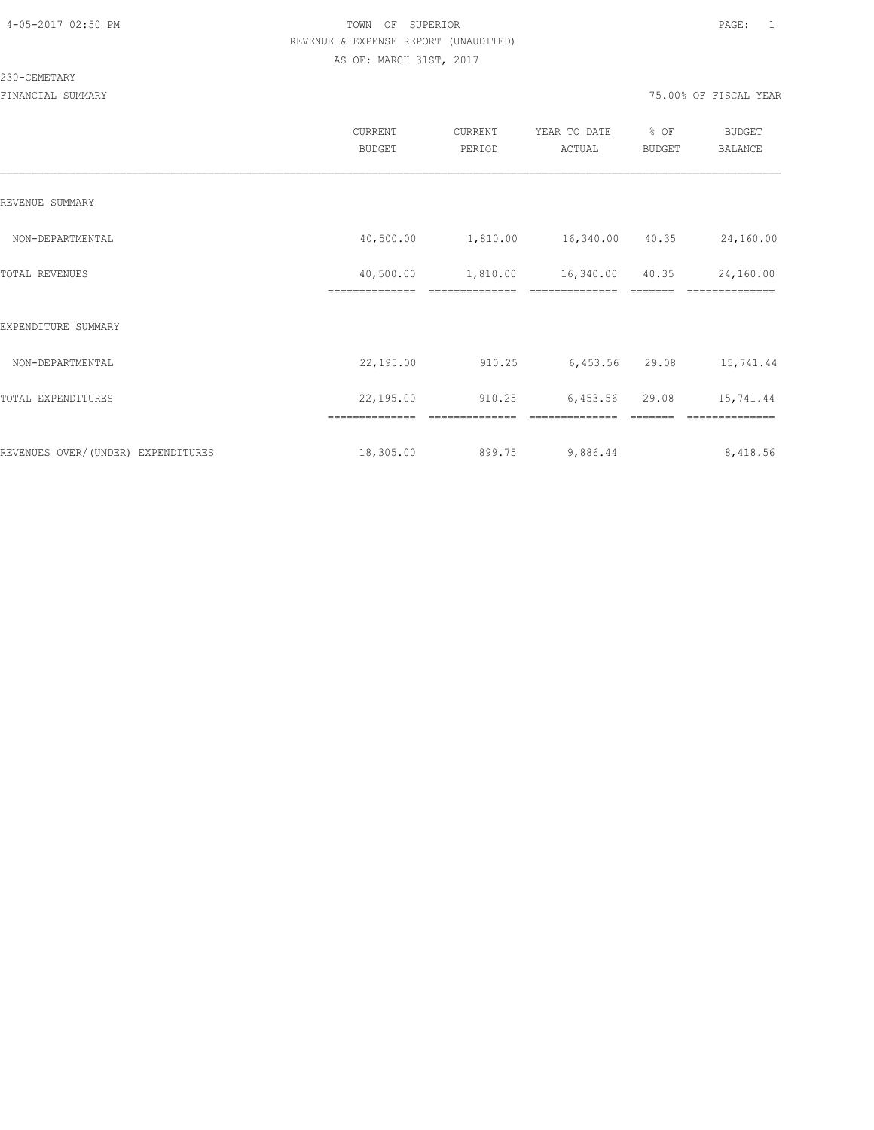#### 230-CEMETARY

|                                     | <b>CURRENT</b><br><b>BUDGET</b> | CURRENT<br>PERIOD | YEAR TO DATE<br>ACTUAL | % OF<br><b>BUDGET</b> | <b>BUDGET</b><br><b>BALANCE</b> |
|-------------------------------------|---------------------------------|-------------------|------------------------|-----------------------|---------------------------------|
| REVENUE SUMMARY                     |                                 |                   |                        |                       |                                 |
| NON-DEPARTMENTAL                    | 40,500.00                       | 1,810.00          | 16,340.00 40.35        |                       | 24,160.00                       |
| TOTAL REVENUES                      | 40,500.00                       | 1,810.00          | 16,340.00              | 40.35                 | 24,160.00                       |
| EXPENDITURE SUMMARY                 |                                 |                   |                        |                       |                                 |
| NON-DEPARTMENTAL                    | 22,195.00                       | 910.25            | 6,453.56               | 29.08                 | 15,741.44                       |
| TOTAL EXPENDITURES                  | 22,195.00                       | 910.25            | 6,453.56               | 29.08                 | 15,741.44                       |
|                                     | ==============                  | ===========       |                        |                       |                                 |
| REVENUES OVER/ (UNDER) EXPENDITURES | 18,305.00                       | 899.75            | 9,886.44               |                       | 8,418.56                        |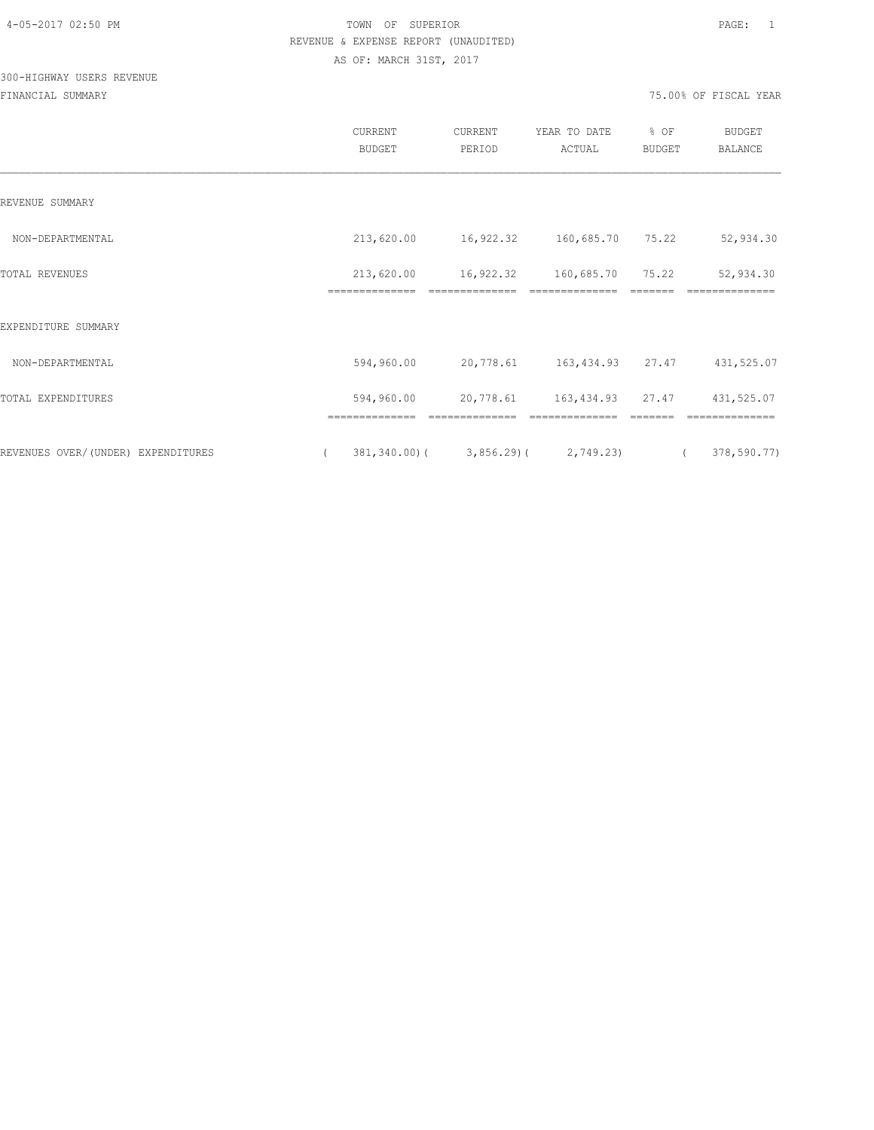## 300-HIGHWAY USERS REVENUE

|                                    |          | CURRENT<br><b>BUDGET</b>     | CURRENT<br>PERIOD                           | YEAR TO DATE<br>ACTUAL     | % OF<br>BUDGET | <b>BUDGET</b><br>BALANCE |
|------------------------------------|----------|------------------------------|---------------------------------------------|----------------------------|----------------|--------------------------|
| REVENUE SUMMARY                    |          |                              |                                             |                            |                |                          |
| NON-DEPARTMENTAL                   |          | 213,620.00                   | 16,922.32 160,685.70 75.22                  |                            |                | 52,934.30                |
| TOTAL REVENUES                     |          | 213,620.00<br>============== | 16,922.32                                   | 160,685.70                 | 75.22          | 52,934.30                |
| EXPENDITURE SUMMARY                |          |                              |                                             |                            |                |                          |
| NON-DEPARTMENTAL                   |          | 594,960.00                   | 20,778.61                                   | 163, 434.93 27.47          |                | 431,525.07               |
| TOTAL EXPENDITURES                 |          | 594,960.00                   |                                             | 20,778.61 163,434.93 27.47 |                | 431,525.07               |
|                                    |          |                              |                                             |                            |                |                          |
| REVENUES OVER/(UNDER) EXPENDITURES | $\left($ |                              | $381, 340.00$ ( $3, 856.29$ ( $2, 749.23$ ( |                            |                | 378,590.77)              |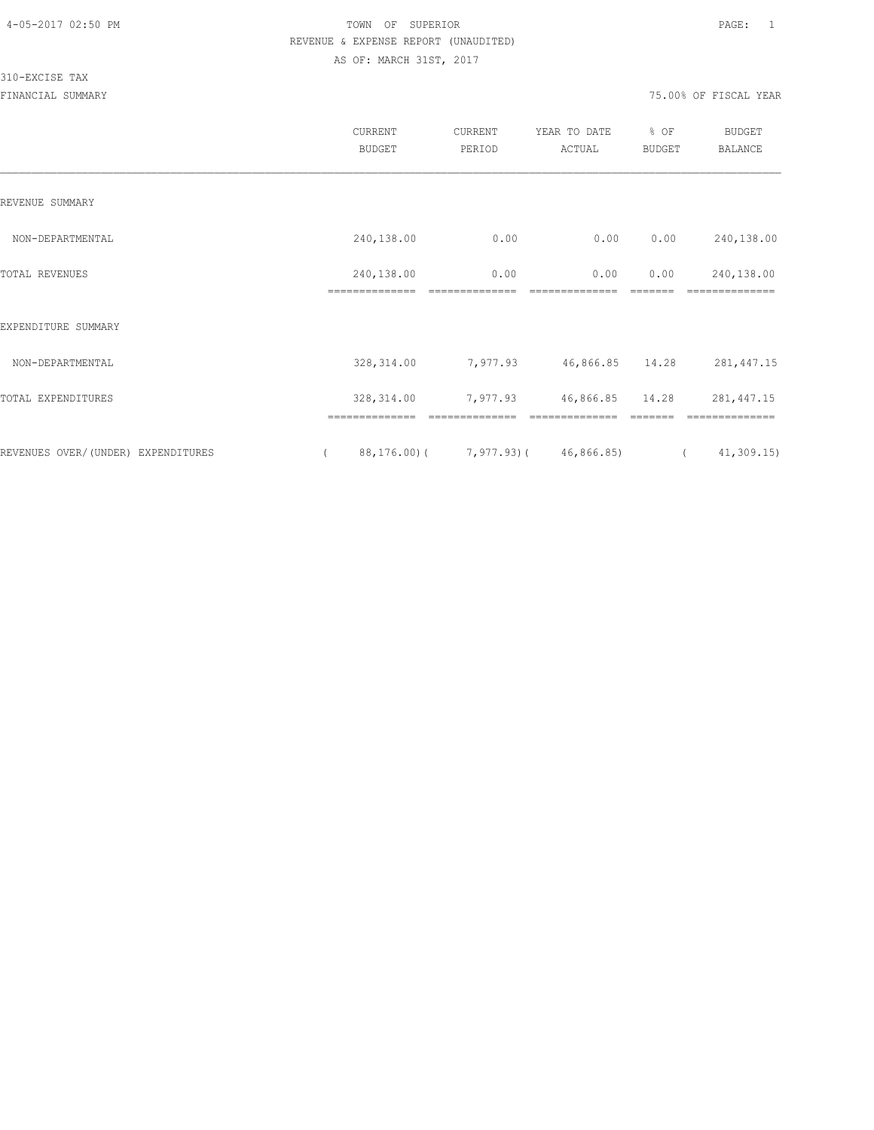#### 310-EXCISE TAX

|                                    | CURRENT<br><b>BUDGET</b>     | CURRENT<br>PERIOD | YEAR TO DATE<br>ACTUAL                           | % OF<br>BUDGET | <b>BUDGET</b><br><b>BALANCE</b> |
|------------------------------------|------------------------------|-------------------|--------------------------------------------------|----------------|---------------------------------|
| REVENUE SUMMARY                    |                              |                   |                                                  |                |                                 |
| NON-DEPARTMENTAL                   | 240,138.00                   | 0.00              | 0.00                                             | 0.00           | 240,138.00                      |
| TOTAL REVENUES                     | 240,138.00<br>============== | 0.00              | 0.00                                             | 0.00           | 240,138.00                      |
| EXPENDITURE SUMMARY                |                              |                   |                                                  |                |                                 |
| NON-DEPARTMENTAL                   | 328, 314.00                  | 7,977.93          | 46,866.85 14.28                                  |                | 281, 447.15                     |
| TOTAL EXPENDITURES                 | 328, 314.00                  | 7,977.93          | 46,866.85                                        | 14.28          | 281, 447.15                     |
| REVENUES OVER/(UNDER) EXPENDITURES | ==============               |                   | $88, 176, 00$ ( $7, 977, 93$ ) ( $46, 866, 85$ ) |                | 41, 309.15<br>$\left($          |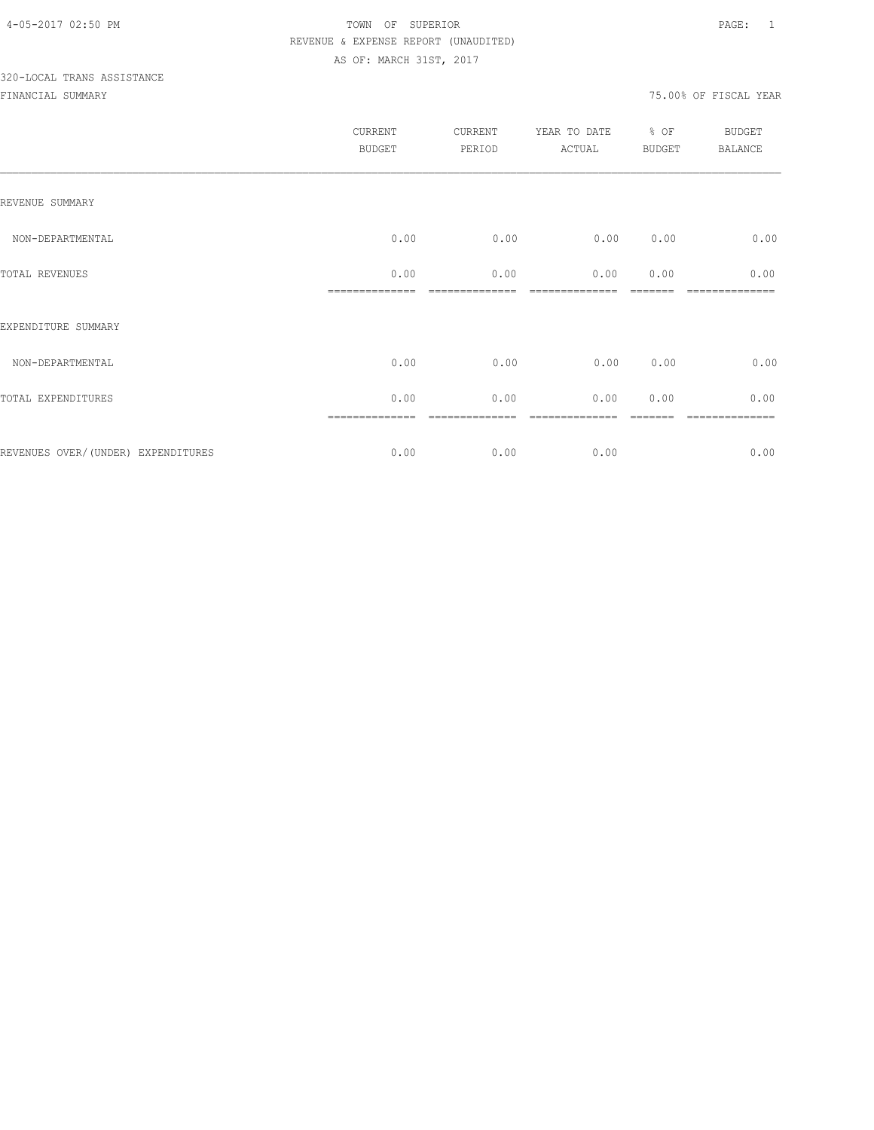# 320-LOCAL TRANS ASSISTANCE

|                                    | <b>CURRENT</b><br><b>BUDGET</b> | CURRENT<br>PERIOD | YEAR TO DATE<br>ACTUAL | % OF<br><b>BUDGET</b> | BUDGET<br><b>BALANCE</b> |
|------------------------------------|---------------------------------|-------------------|------------------------|-----------------------|--------------------------|
| REVENUE SUMMARY                    |                                 |                   |                        |                       |                          |
| NON-DEPARTMENTAL                   | 0.00                            | 0.00              | 0.00                   | 0.00                  | 0.00                     |
| TOTAL REVENUES                     | 0.00                            | 0.00              | 0.00                   | 0.00                  | 0.00                     |
| EXPENDITURE SUMMARY                |                                 |                   |                        |                       |                          |
| NON-DEPARTMENTAL                   | 0.00                            | 0.00              | 0.00                   | 0.00                  | 0.00                     |
| TOTAL EXPENDITURES                 | 0.00                            | 0.00              | 0.00                   | 0.00                  | 0.00                     |
| REVENUES OVER/(UNDER) EXPENDITURES | 0.00                            | 0.00              | 0.00                   |                       | =======<br>0.00          |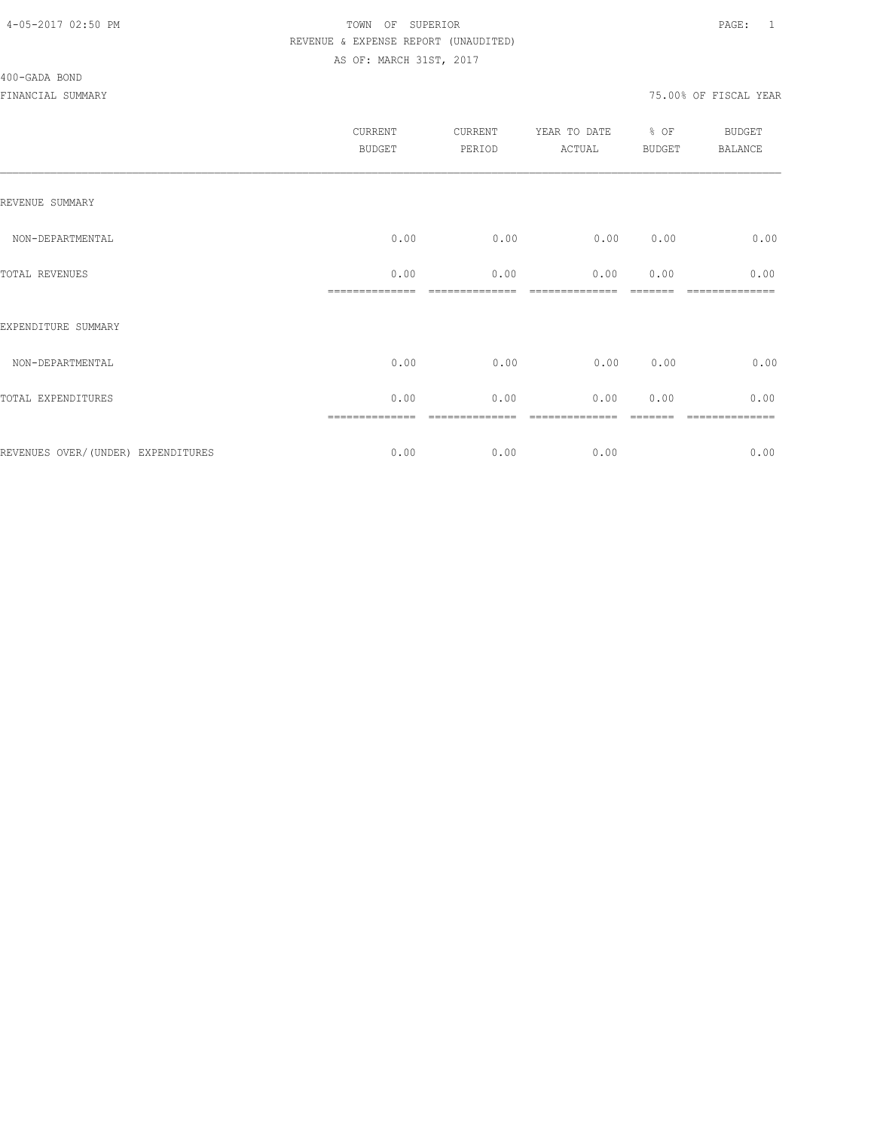#### 400-GADA BOND

| <b>CURRENT</b><br><b>BUDGET</b> | CURRENT<br>PERIOD | YEAR TO DATE<br>ACTUAL | % OF | <b>BUDGET</b><br><b>BALANCE</b> |
|---------------------------------|-------------------|------------------------|------|---------------------------------|
|                                 |                   |                        |      |                                 |
| 0.00                            | 0.00              | 0.00                   | 0.00 | 0.00                            |
| 0.00                            | 0.00              | 0.00                   | 0.00 | 0.00                            |
|                                 |                   |                        |      |                                 |
| 0.00                            | 0.00              | 0.00                   | 0.00 | 0.00                            |
| 0.00                            | 0.00              | 0.00                   | 0.00 | 0.00                            |
| 0.00                            | 0.00              | 0.00                   |      | ========<br>0.00                |
|                                 |                   |                        |      | <b>BUDGET</b>                   |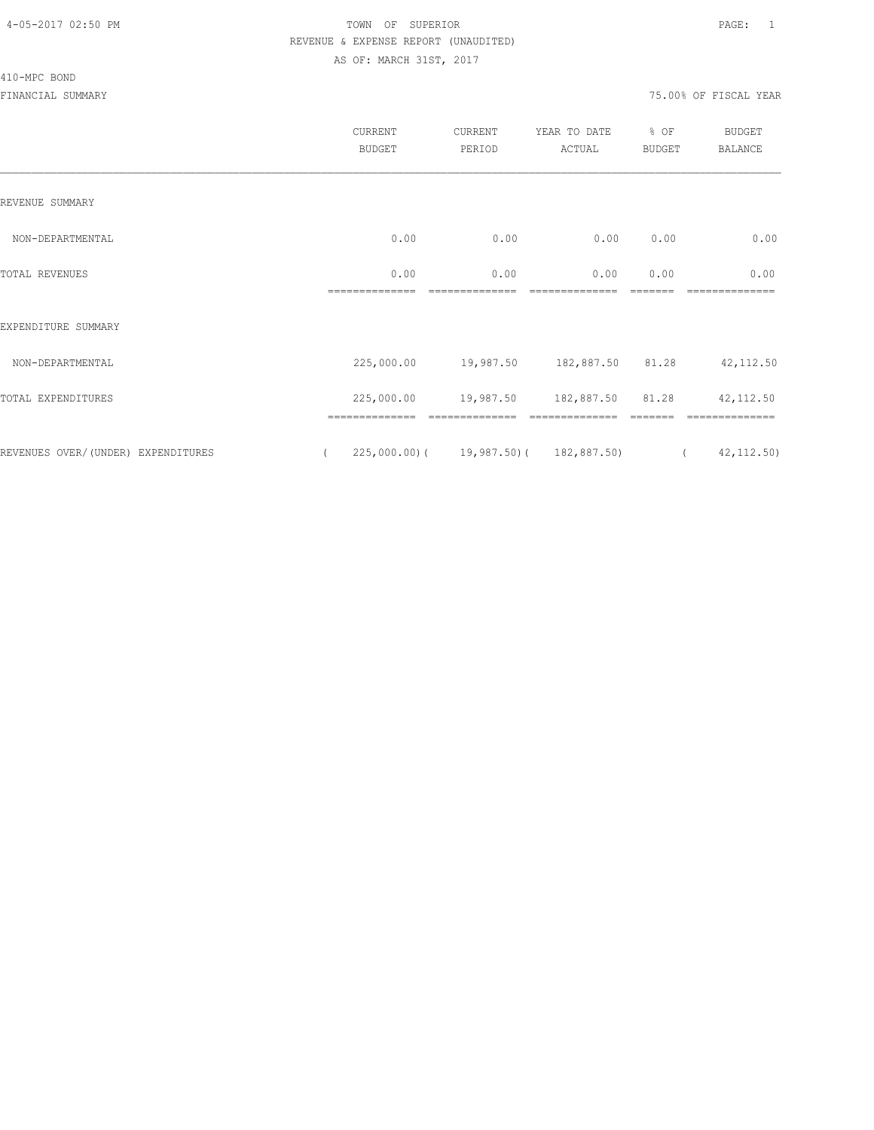#### 410-MPC BOND

|                                    | CURRENT<br><b>BUDGET</b> | CURRENT<br>PERIOD                       | YEAR TO DATE<br>ACTUAL     | % OF<br><b>BUDGET</b> | <b>BUDGET</b><br><b>BALANCE</b>     |
|------------------------------------|--------------------------|-----------------------------------------|----------------------------|-----------------------|-------------------------------------|
| REVENUE SUMMARY                    |                          |                                         |                            |                       |                                     |
| NON-DEPARTMENTAL                   | 0.00                     | 0.00                                    | 0.00                       | 0.00                  | 0.00                                |
| TOTAL REVENUES                     | 0.00<br>--------------   | 0.00                                    | 0.00<br>---------------    | 0.00                  | 0.00                                |
| EXPENDITURE SUMMARY                |                          |                                         |                            |                       |                                     |
| NON-DEPARTMENTAL                   | 225,000.00               |                                         | 19,987.50 182,887.50 81.28 |                       | 42, 112.50                          |
| TOTAL EXPENDITURES                 | 225,000.00               | 19,987.50                               | 182,887.50                 | 81.28                 | 42, 112.50                          |
| REVENUES OVER/(UNDER) EXPENDITURES | $\left($                 | $225,000.00$ ( 19,987.50) ( 182,887.50) |                            |                       | 42, 112.50)<br>$\sim$ $\sim$ $\sim$ |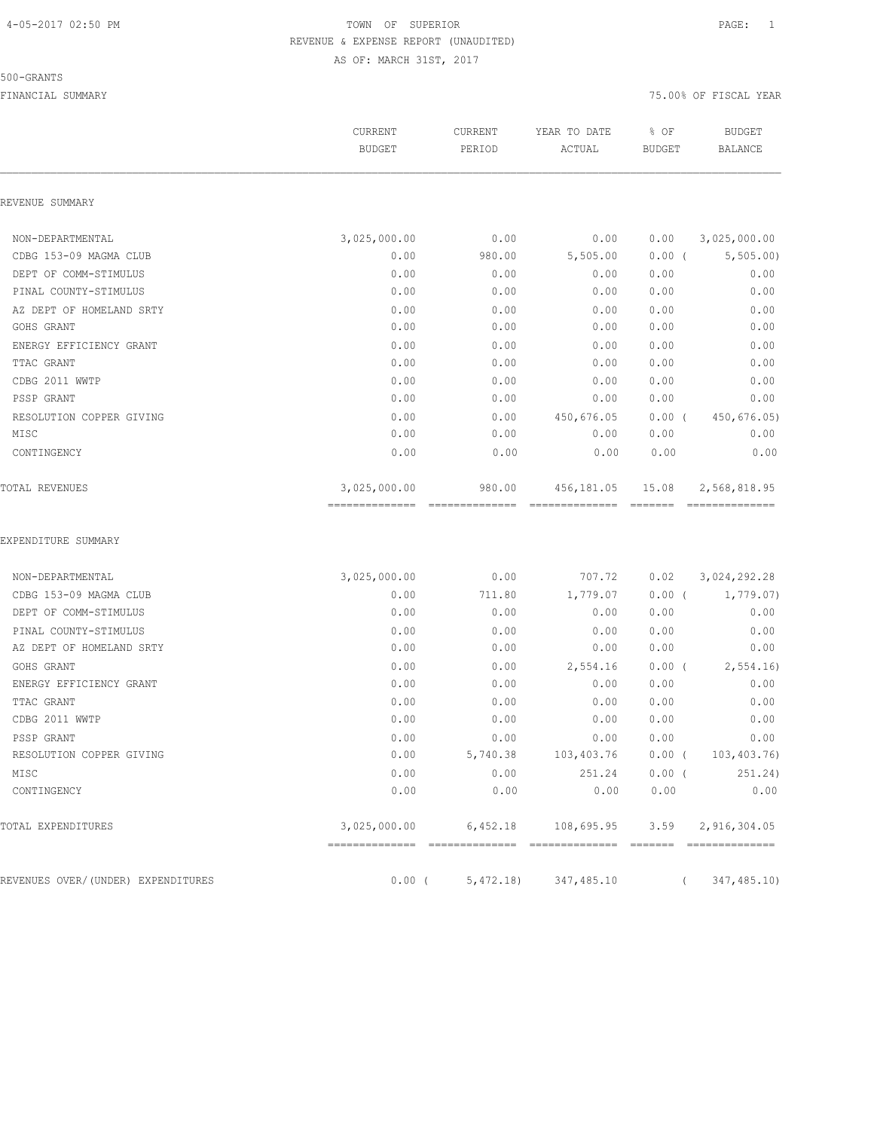#### 500-GRANTS

|                                    | CURRENT<br><b>BUDGET</b>       | CURRENT<br>PERIOD        | YEAR TO DATE<br>ACTUAL           | % OF<br><b>BUDGET</b> | <b>BUDGET</b><br><b>BALANCE</b> |  |
|------------------------------------|--------------------------------|--------------------------|----------------------------------|-----------------------|---------------------------------|--|
| REVENUE SUMMARY                    |                                |                          |                                  |                       |                                 |  |
| NON-DEPARTMENTAL                   | 3,025,000.00                   | 0.00                     | 0.00                             | 0.00                  | 3,025,000.00                    |  |
| CDBG 153-09 MAGMA CLUB             | 0.00                           | 980.00                   | 5,505.00                         | 0.00(                 | 5, 505.00                       |  |
| DEPT OF COMM-STIMULUS              | 0.00                           | 0.00                     | 0.00                             | 0.00                  | 0.00                            |  |
| PINAL COUNTY-STIMULUS              | 0.00                           | 0.00                     | 0.00                             | 0.00                  | 0.00                            |  |
| AZ DEPT OF HOMELAND SRTY           | 0.00                           | 0.00                     | 0.00                             | 0.00                  | 0.00                            |  |
| GOHS GRANT                         | 0.00                           | 0.00                     | 0.00                             | 0.00                  | 0.00                            |  |
| ENERGY EFFICIENCY GRANT            | 0.00                           | 0.00                     | 0.00                             | 0.00                  | 0.00                            |  |
| TTAC GRANT                         | 0.00                           | 0.00                     | 0.00                             | 0.00                  | 0.00                            |  |
| CDBG 2011 WWTP                     | 0.00                           | 0.00                     | 0.00                             | 0.00                  | 0.00                            |  |
| PSSP GRANT                         | 0.00                           | 0.00                     | 0.00                             | 0.00                  | 0.00                            |  |
| RESOLUTION COPPER GIVING           | 0.00                           | 0.00                     | 450,676.05                       | $0.00$ (              | 450,676.05)                     |  |
| MISC                               | 0.00                           | 0.00                     | 0.00                             | 0.00                  | 0.00                            |  |
| CONTINGENCY                        | 0.00                           | 0.00                     | 0.00                             | 0.00                  | 0.00                            |  |
| TOTAL REVENUES                     | 3,025,000.00<br>-------------- | 980.00<br>-------------- | 456,181.05<br>==============     | 15.08                 | 2,568,818.95<br>==============  |  |
| EXPENDITURE SUMMARY                |                                |                          |                                  |                       |                                 |  |
| NON-DEPARTMENTAL                   | 3,025,000.00                   | 0.00                     | 707.72                           | 0.02                  | 3,024,292.28                    |  |
| CDBG 153-09 MAGMA CLUB             | 0.00                           | 711.80                   | 1,779.07                         | $0.00$ (              | 1,779.07)                       |  |
| DEPT OF COMM-STIMULUS              | 0.00                           | 0.00                     | 0.00                             | 0.00                  | 0.00                            |  |
| PINAL COUNTY-STIMULUS              | 0.00                           | 0.00                     | 0.00                             | 0.00                  | 0.00                            |  |
| AZ DEPT OF HOMELAND SRTY           | 0.00                           | 0.00                     | 0.00                             | 0.00                  | 0.00                            |  |
| GOHS GRANT                         | 0.00                           | 0.00                     | 2,554.16                         | $0.00$ (              | 2,554.16                        |  |
| ENERGY EFFICIENCY GRANT            | 0.00                           | 0.00                     | 0.00                             | 0.00                  | 0.00                            |  |
| TTAC GRANT                         | 0.00                           | 0.00                     | 0.00                             | 0.00                  | 0.00                            |  |
| CDBG 2011 WWTP                     | 0.00                           | 0.00                     | 0.00                             | 0.00                  | 0.00                            |  |
| PSSP GRANT                         | 0.00                           | 0.00                     | 0.00                             | 0.00                  | 0.00                            |  |
| RESOLUTION COPPER GIVING           | 0.00                           | 5,740.38                 | 103,403.76                       | $0.00$ (              | 103,403.76)                     |  |
| MISC                               | 0.00                           | 0.00                     | 251.24                           | $0.00$ (              | 251.24)                         |  |
| CONTINGENCY                        | 0.00                           | 0.00                     | 0.00                             | 0.00                  | 0.00                            |  |
| TOTAL EXPENDITURES                 | 3,025,000.00                   | 6,452.18                 | 108,695.95                       | 3.59                  | 2,916,304.05                    |  |
| REVENUES OVER/(UNDER) EXPENDITURES |                                |                          | $0.00$ ( $5,472.18$ ) 347,485.10 |                       | 347,485.10)                     |  |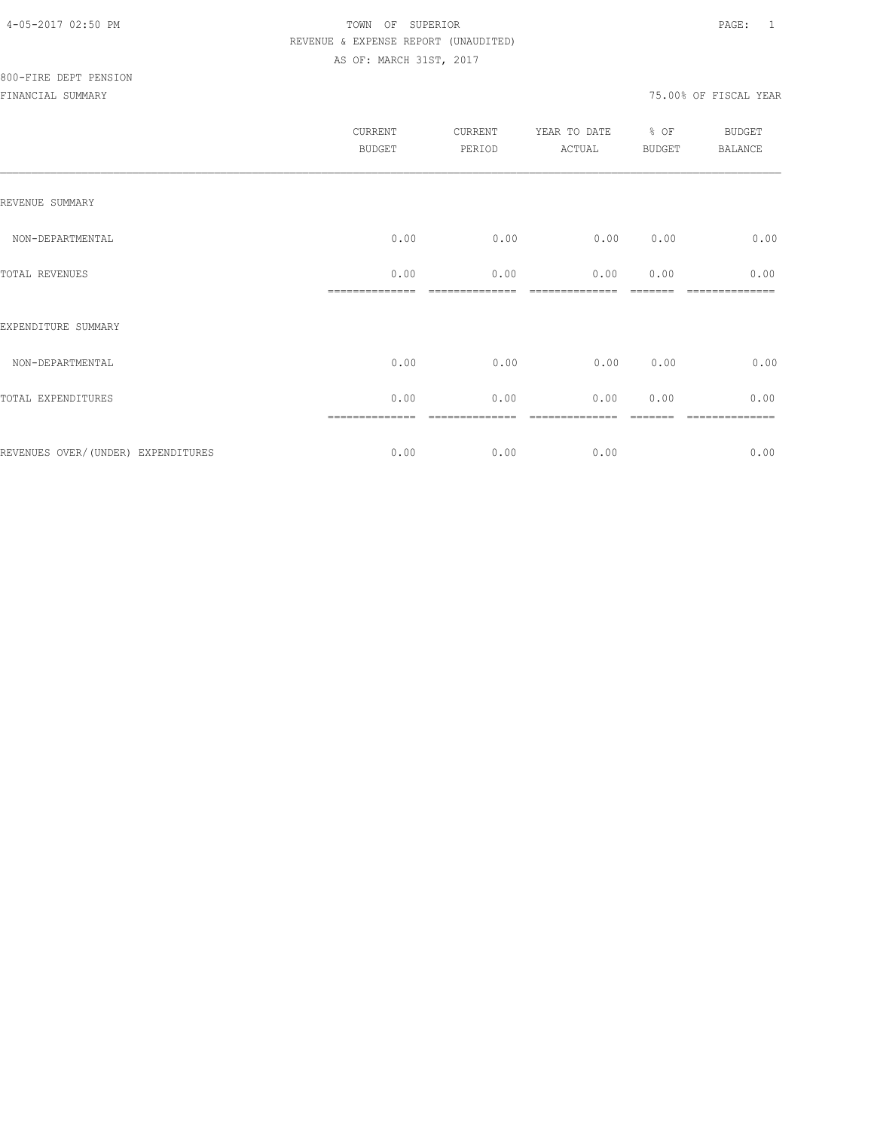|                                    | CURRENT<br><b>BUDGET</b> | CURRENT<br>PERIOD | YEAR TO DATE<br>ACTUAL | % OF<br>BUDGET | <b>BUDGET</b><br><b>BALANCE</b> |
|------------------------------------|--------------------------|-------------------|------------------------|----------------|---------------------------------|
| REVENUE SUMMARY                    |                          |                   |                        |                |                                 |
| NON-DEPARTMENTAL                   | 0.00                     | 0.00              | 0.00                   | 0.00           | 0.00                            |
| TOTAL REVENUES                     | 0.00                     | 0.00              | 0.00                   | 0.00           | 0.00                            |
| EXPENDITURE SUMMARY                |                          |                   |                        |                |                                 |
| NON-DEPARTMENTAL                   | 0.00                     | 0.00              | 0.00                   | 0.00           | 0.00                            |
| TOTAL EXPENDITURES                 | 0.00                     | 0.00              | 0.00                   | 0.00           | 0.00                            |
|                                    |                          |                   |                        |                |                                 |
| REVENUES OVER/(UNDER) EXPENDITURES | 0.00                     | 0.00              | 0.00                   |                | 0.00                            |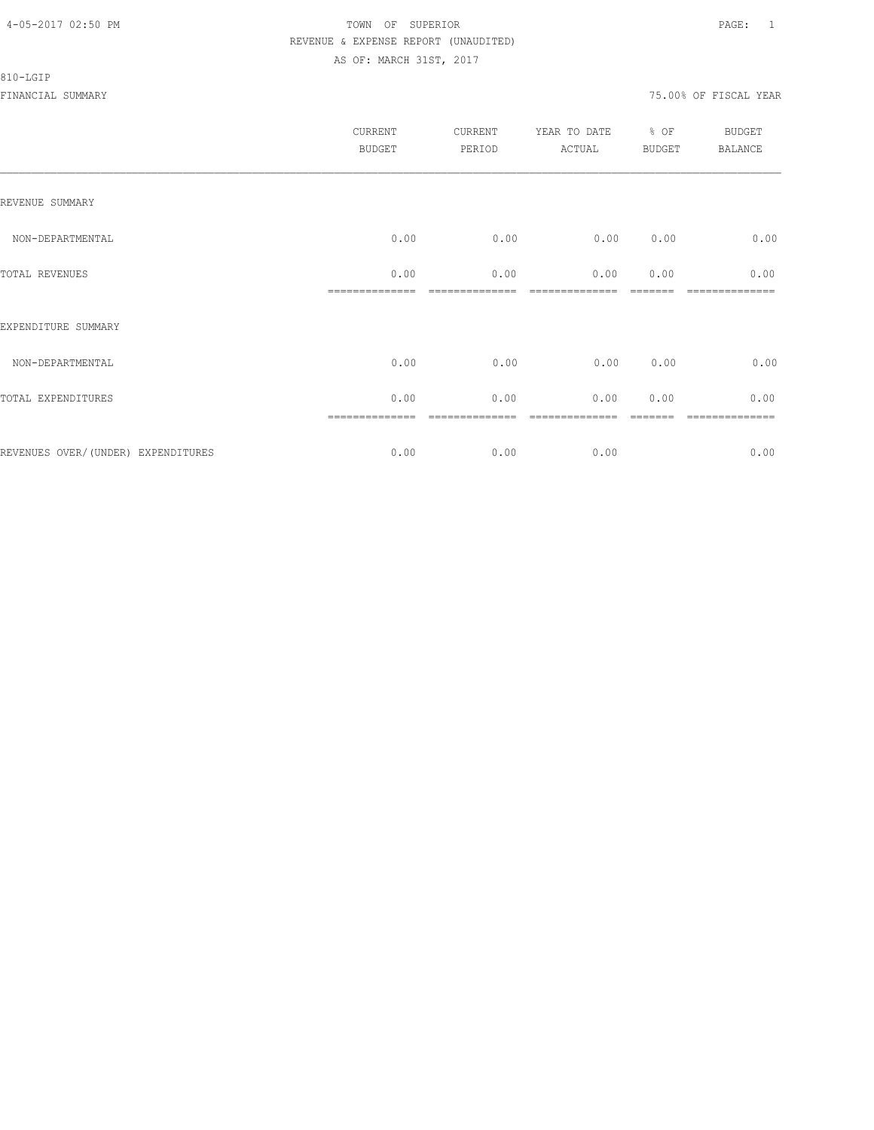#### 810-LGIP

|                                     | <b>CURRENT</b><br><b>BUDGET</b> | CURRENT<br>PERIOD | YEAR TO DATE<br>ACTUAL | % OF<br>BUDGET | BUDGET<br><b>BALANCE</b> |
|-------------------------------------|---------------------------------|-------------------|------------------------|----------------|--------------------------|
| REVENUE SUMMARY                     |                                 |                   |                        |                |                          |
| NON-DEPARTMENTAL                    | 0.00                            | 0.00              | 0.00                   | 0.00           | 0.00                     |
| TOTAL REVENUES                      | 0.00                            | 0.00              | 0.00                   | 0.00           | 0.00                     |
| EXPENDITURE SUMMARY                 |                                 |                   |                        |                |                          |
| NON-DEPARTMENTAL                    | 0.00                            | 0.00              | 0.00                   | 0.00           | 0.00                     |
| TOTAL EXPENDITURES                  | 0.00                            | 0.00              | 0.00                   | 0.00           | 0.00                     |
|                                     |                                 |                   |                        |                | ----------               |
| REVENUES OVER/ (UNDER) EXPENDITURES | 0.00                            | 0.00              | 0.00                   |                | 0.00                     |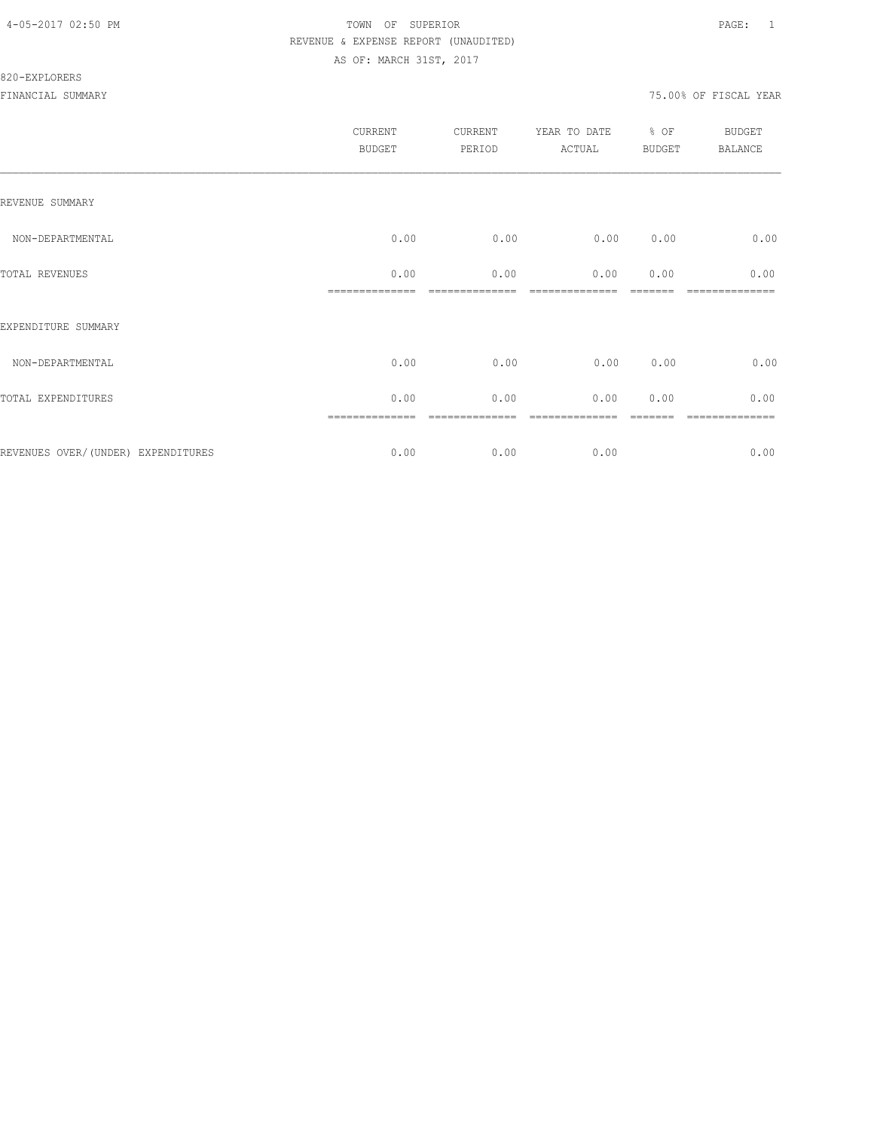#### 820-EXPLORERS

|                                     | <b>CURRENT</b><br><b>BUDGET</b> | CURRENT<br>PERIOD | YEAR TO DATE<br>ACTUAL | % OF<br><b>BUDGET</b> | <b>BUDGET</b><br><b>BALANCE</b> |
|-------------------------------------|---------------------------------|-------------------|------------------------|-----------------------|---------------------------------|
| REVENUE SUMMARY                     |                                 |                   |                        |                       |                                 |
| NON-DEPARTMENTAL                    | 0.00                            | 0.00              | 0.00                   | 0.00                  | 0.00                            |
| TOTAL REVENUES                      | 0.00                            | 0.00              | 0.00                   | 0.00                  | 0.00                            |
| EXPENDITURE SUMMARY                 |                                 |                   |                        |                       |                                 |
| NON-DEPARTMENTAL                    | 0.00                            | 0.00              | 0.00                   | 0.00                  | 0.00                            |
| TOTAL EXPENDITURES                  | 0.00                            | 0.00              | 0.00                   | 0.00                  | 0.00                            |
| REVENUES OVER/ (UNDER) EXPENDITURES | 0.00                            | 0.00              | 0.00                   |                       | ========<br>0.00                |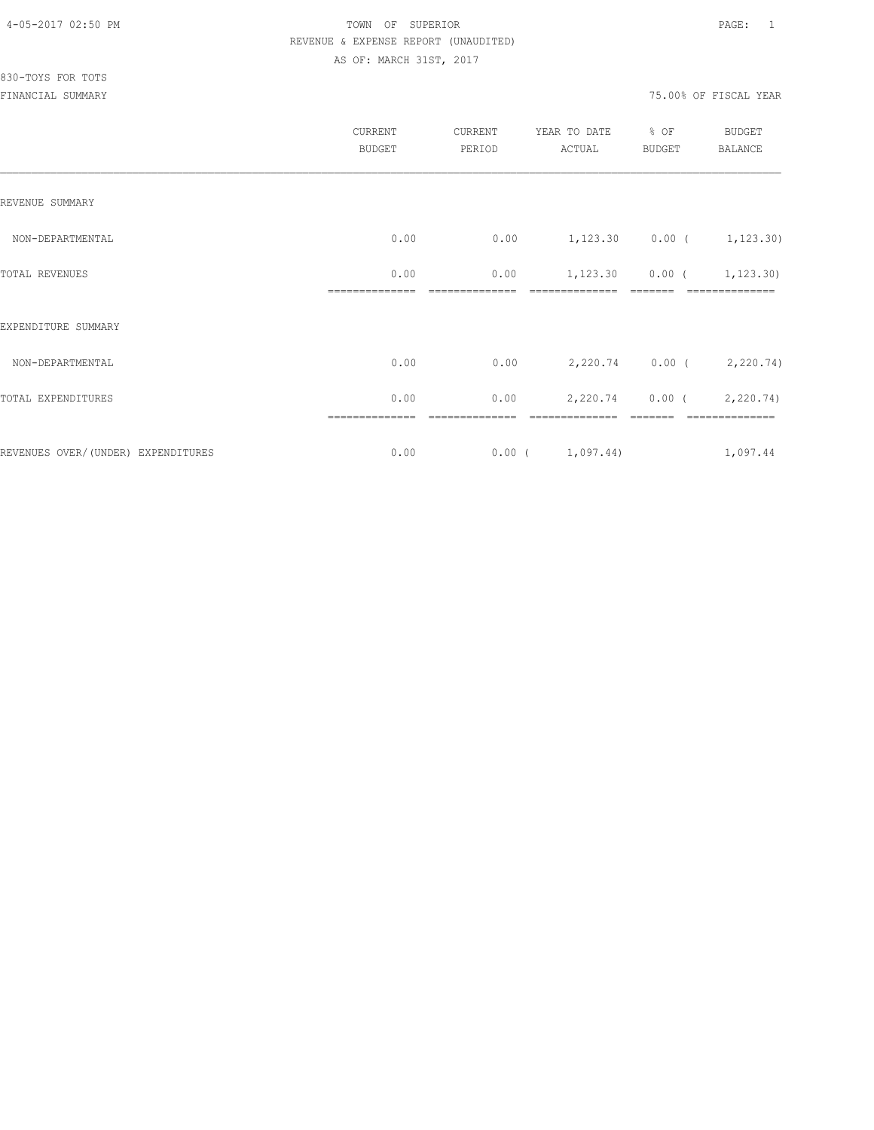830-TOYS FOR TOTS

|                                     | CURRENT<br><b>BUDGET</b> | CURRENT<br>PERIOD | YEAR TO DATE<br>ACTUAL      | % OF<br><b>BUDGET</b> | <b>BUDGET</b><br>BALANCE    |
|-------------------------------------|--------------------------|-------------------|-----------------------------|-----------------------|-----------------------------|
| REVENUE SUMMARY                     |                          |                   |                             |                       |                             |
| NON-DEPARTMENTAL                    | 0.00                     | 0.00              | $1,123.30$ 0.00 ( 1,123.30) |                       |                             |
| TOTAL REVENUES                      | 0.00                     | 0.00              |                             |                       | $1,123.30$ 0.00 ( 1,123.30) |
| EXPENDITURE SUMMARY                 |                          |                   |                             |                       |                             |
| NON-DEPARTMENTAL                    | 0.00                     | 0.00              |                             |                       | 2,220.74 0.00 ( 2,220.74)   |
| TOTAL EXPENDITURES                  | 0.00                     | 0.00              |                             |                       | 2,220.74 0.00 (2,220.74)    |
|                                     | ==============           | ========          |                             |                       |                             |
| REVENUES OVER/ (UNDER) EXPENDITURES | 0.00                     |                   | 0.00(1,097.44)              |                       | 1,097.44                    |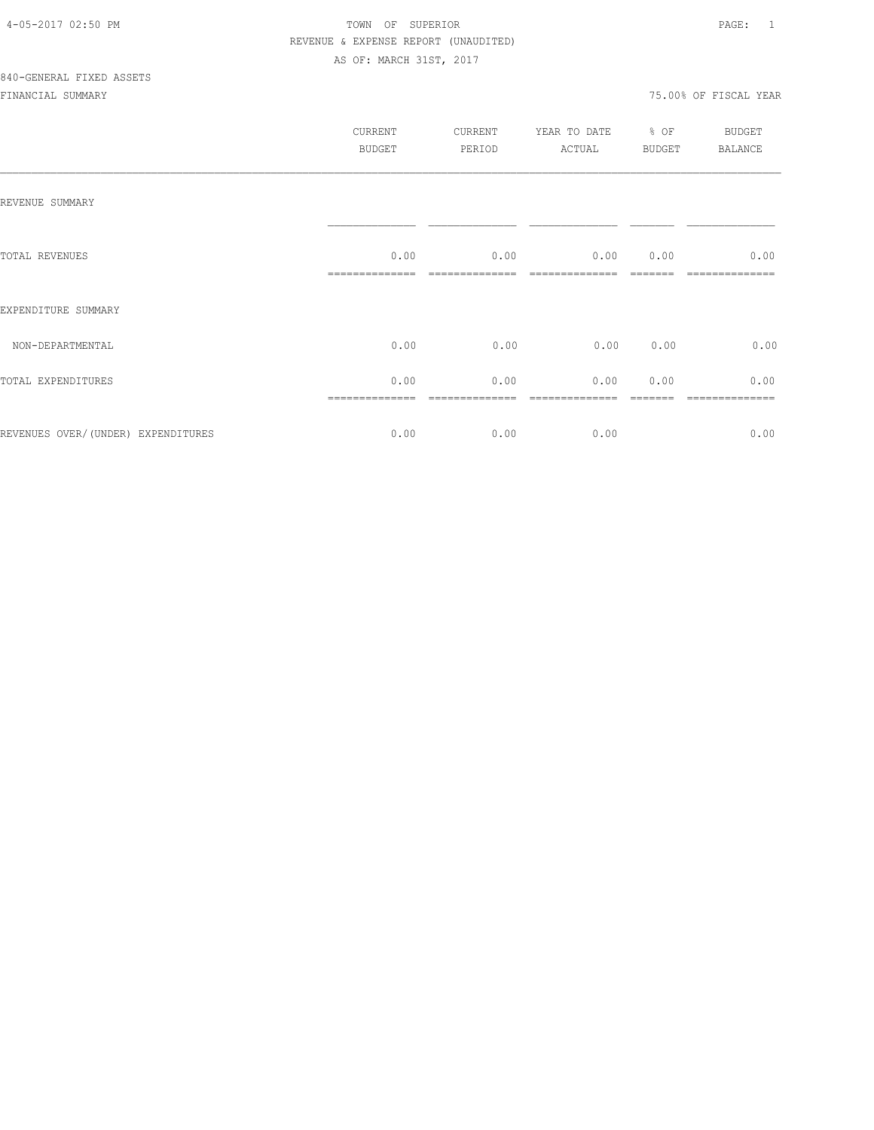|                                    | CURRENT<br>BUDGET | CURRENT<br>PERIOD | YEAR TO DATE<br>ACTUAL | % OF<br>BUDGET | BUDGET<br>BALANCE |
|------------------------------------|-------------------|-------------------|------------------------|----------------|-------------------|
| REVENUE SUMMARY                    |                   |                   |                        |                |                   |
| TOTAL REVENUES                     | 0.00              | 0.00              | 0.00000000             |                | 0.00              |
| EXPENDITURE SUMMARY                |                   |                   |                        |                |                   |
| NON-DEPARTMENTAL                   | 0.00              | 0.00              | 0.00                   | 0.00           | 0.00              |
| TOTAL EXPENDITURES                 | 0.00              | 0.00              | 0.00                   | 0.00           | 0.00<br>========  |
| REVENUES OVER/(UNDER) EXPENDITURES | 0.00              | 0.00              | 0.00                   |                | 0.00              |